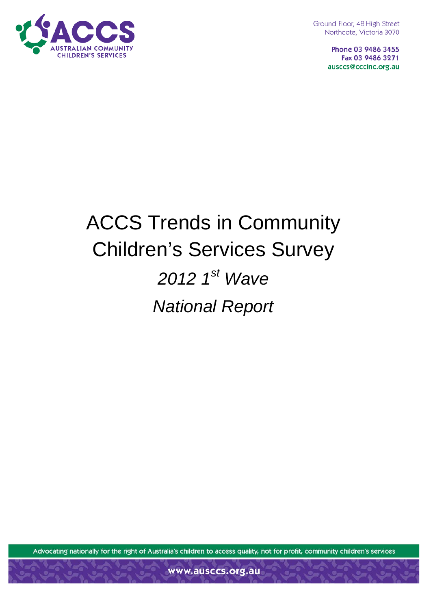

Ground Floor, 48 High Street Northcote, Victoria 3070

> Phone 03 9486 3455 Fax 03 9486 3271 ausccs@cccinc.org.au

# ACCS Trends in Community Children's Services Survey

# *2012 1st Wave National Report*

Advocating nationally for the right of Australia's children to access quality, not for profit, community children's services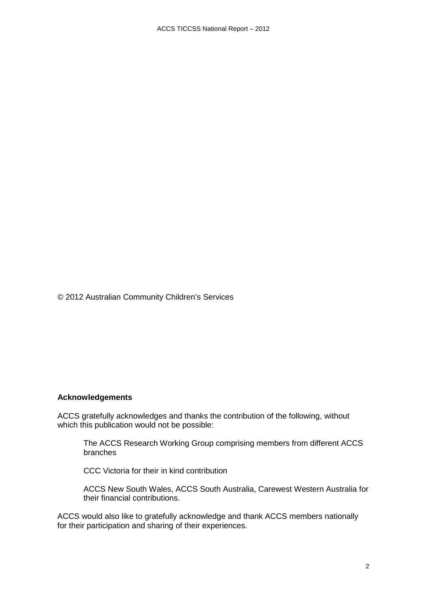© 2012 Australian Community Children's Services

#### **Acknowledgements**

ACCS gratefully acknowledges and thanks the contribution of the following, without which this publication would not be possible:

The ACCS Research Working Group comprising members from different ACCS branches

CCC Victoria for their in kind contribution

ACCS New South Wales, ACCS South Australia, Carewest Western Australia for their financial contributions.

ACCS would also like to gratefully acknowledge and thank ACCS members nationally for their participation and sharing of their experiences.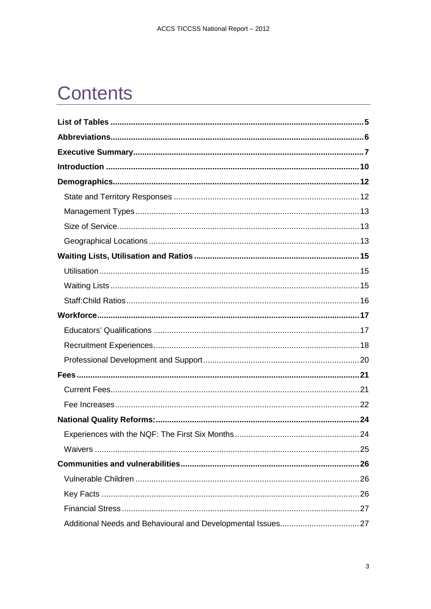## **Contents**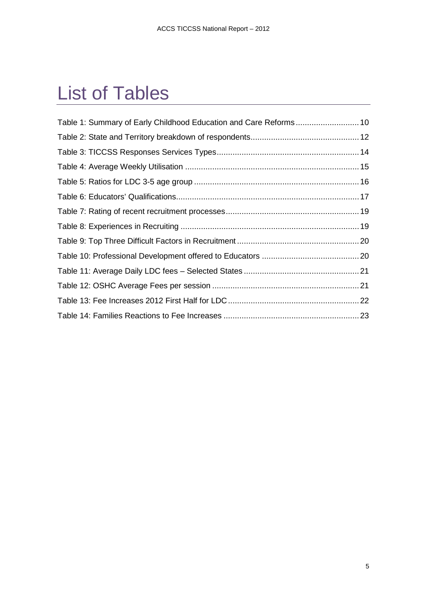## <span id="page-4-0"></span>List of Tables

| Table 1: Summary of Early Childhood Education and Care Reforms 10 |  |
|-------------------------------------------------------------------|--|
|                                                                   |  |
|                                                                   |  |
|                                                                   |  |
|                                                                   |  |
|                                                                   |  |
|                                                                   |  |
|                                                                   |  |
|                                                                   |  |
|                                                                   |  |
|                                                                   |  |
|                                                                   |  |
|                                                                   |  |
|                                                                   |  |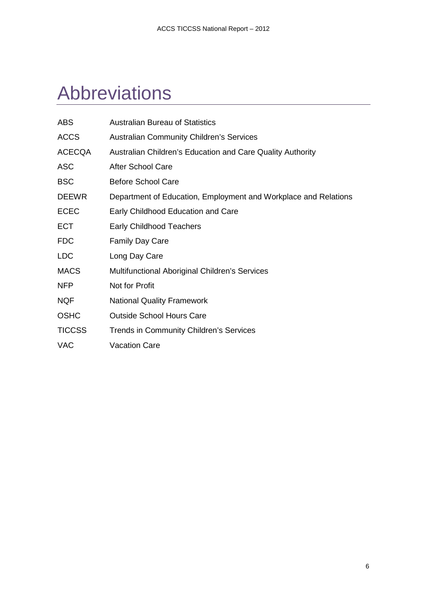## <span id="page-5-0"></span>Abbreviations

| <b>ABS</b>    | <b>Australian Bureau of Statistics</b>                          |
|---------------|-----------------------------------------------------------------|
| <b>ACCS</b>   | <b>Australian Community Children's Services</b>                 |
| <b>ACECQA</b> | Australian Children's Education and Care Quality Authority      |
| <b>ASC</b>    | <b>After School Care</b>                                        |
| <b>BSC</b>    | <b>Before School Care</b>                                       |
| <b>DEEWR</b>  | Department of Education, Employment and Workplace and Relations |
| <b>ECEC</b>   | Early Childhood Education and Care                              |
| <b>ECT</b>    | <b>Early Childhood Teachers</b>                                 |
| <b>FDC</b>    | <b>Family Day Care</b>                                          |
| <b>LDC</b>    | Long Day Care                                                   |
| <b>MACS</b>   | Multifunctional Aboriginal Children's Services                  |
| <b>NFP</b>    | Not for Profit                                                  |
| <b>NQF</b>    | <b>National Quality Framework</b>                               |
| <b>OSHC</b>   | <b>Outside School Hours Care</b>                                |
| <b>TICCSS</b> | <b>Trends in Community Children's Services</b>                  |
| <b>VAC</b>    | <b>Vacation Care</b>                                            |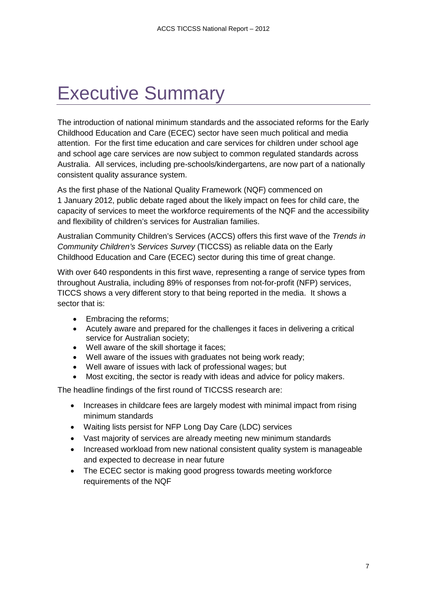## <span id="page-6-0"></span>Executive Summary

The introduction of national minimum standards and the associated reforms for the Early Childhood Education and Care (ECEC) sector have seen much political and media attention. For the first time education and care services for children under school age and school age care services are now subject to common regulated standards across Australia. All services, including pre-schools/kindergartens, are now part of a nationally consistent quality assurance system.

As the first phase of the National Quality Framework (NQF) commenced on 1 January 2012, public debate raged about the likely impact on fees for child care, the capacity of services to meet the workforce requirements of the NQF and the accessibility and flexibility of children's services for Australian families.

Australian Community Children's Services (ACCS) offers this first wave of the *Trends in Community Children's Services Survey* (TICCSS) as reliable data on the Early Childhood Education and Care (ECEC) sector during this time of great change.

With over 640 respondents in this first wave, representing a range of service types from throughout Australia, including 89% of responses from not-for-profit (NFP) services, TICCS shows a very different story to that being reported in the media. It shows a sector that is:

- Embracing the reforms;
- Acutely aware and prepared for the challenges it faces in delivering a critical service for Australian society;
- Well aware of the skill shortage it faces;
- Well aware of the issues with graduates not being work ready;
- Well aware of issues with lack of professional wages; but
- Most exciting, the sector is ready with ideas and advice for policy makers.

The headline findings of the first round of TICCSS research are:

- Increases in childcare fees are largely modest with minimal impact from rising minimum standards
- Waiting lists persist for NFP Long Day Care (LDC) services
- Vast majority of services are already meeting new minimum standards
- Increased workload from new national consistent quality system is manageable and expected to decrease in near future
- The ECEC sector is making good progress towards meeting workforce requirements of the NQF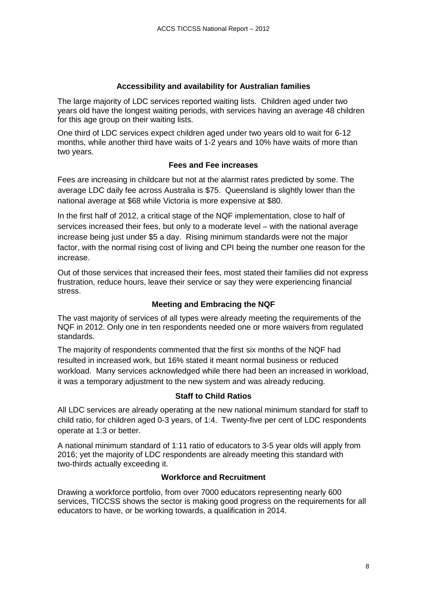#### **Accessibility and availability for Australian families**

The large majority of LDC services reported waiting lists. Children aged under two years old have the longest waiting periods, with services having an average 48 children for this age group on their waiting lists.

One third of LDC services expect children aged under two years old to wait for 6-12 months, while another third have waits of 1-2 years and 10% have waits of more than two years.

#### **Fees and Fee increases**

Fees are increasing in childcare but not at the alarmist rates predicted by some. The average LDC daily fee across Australia is \$75. Queensland is slightly lower than the national average at \$68 while Victoria is more expensive at \$80.

In the first half of 2012, a critical stage of the NQF implementation, close to half of services increased their fees, but only to a moderate level – with the national average increase being just under \$5 a day. Rising minimum standards were not the major factor, with the normal rising cost of living and CPI being the number one reason for the increase.

Out of those services that increased their fees, most stated their families did not express frustration, reduce hours, leave their service or say they were experiencing financial stress.

#### **Meeting and Embracing the NQF**

The vast majority of services of all types were already meeting the requirements of the NQF in 2012. Only one in ten respondents needed one or more waivers from regulated standards.

The majority of respondents commented that the first six months of the NQF had resulted in increased work, but 16% stated it meant normal business or reduced workload. Many services acknowledged while there had been an increased in workload, it was a temporary adjustment to the new system and was already reducing.

#### **Staff to Child Ratios**

All LDC services are already operating at the new national minimum standard for staff to child ratio, for children aged 0-3 years, of 1:4. Twenty-five per cent of LDC respondents operate at 1:3 or better.

A national minimum standard of 1:11 ratio of educators to 3-5 year olds will apply from 2016; yet the majority of LDC respondents are already meeting this standard with two-thirds actually exceeding it.

#### **Workforce and Recruitment**

Drawing a workforce portfolio, from over 7000 educators representing nearly 600 services, TICCSS shows the sector is making good progress on the requirements for all educators to have, or be working towards, a qualification in 2014.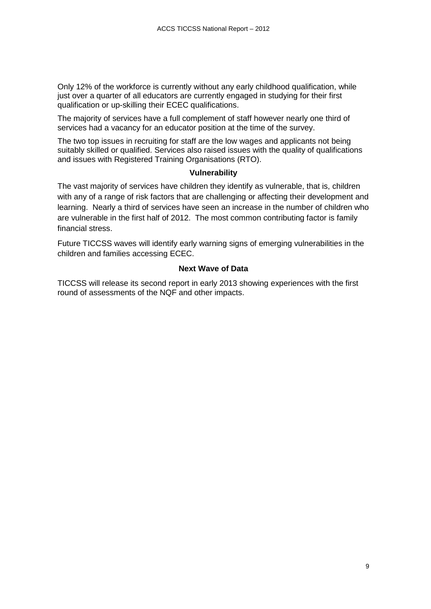Only 12% of the workforce is currently without any early childhood qualification, while just over a quarter of all educators are currently engaged in studying for their first qualification or up-skilling their ECEC qualifications.

The majority of services have a full complement of staff however nearly one third of services had a vacancy for an educator position at the time of the survey.

The two top issues in recruiting for staff are the low wages and applicants not being suitably skilled or qualified. Services also raised issues with the quality of qualifications and issues with Registered Training Organisations (RTO).

#### **Vulnerability**

The vast majority of services have children they identify as vulnerable, that is, children with any of a range of risk factors that are challenging or affecting their development and learning. Nearly a third of services have seen an increase in the number of children who are vulnerable in the first half of 2012. The most common contributing factor is family financial stress.

Future TICCSS waves will identify early warning signs of emerging vulnerabilities in the children and families accessing ECEC.

#### **Next Wave of Data**

TICCSS will release its second report in early 2013 showing experiences with the first round of assessments of the NQF and other impacts.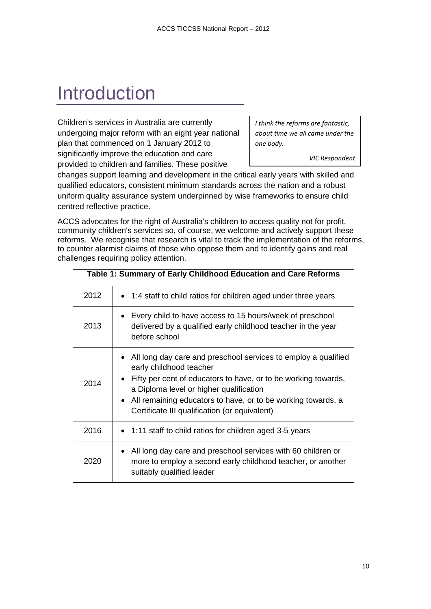## <span id="page-9-0"></span>**Introduction**

Children's services in Australia are currently undergoing major reform with an eight year national plan that commenced on 1 January 2012 to significantly improve the education and care provided to children and families. These positive

*I think the reforms are fantastic, about time we all came under the one body.*

*VIC Respondent*

changes support learning and development in the critical early years with skilled and qualified educators, consistent minimum standards across the nation and a robust uniform quality assurance system underpinned by wise frameworks to ensure child centred reflective practice.

ACCS advocates for the right of Australia's children to access quality not for profit, community children's services so, of course, we welcome and actively support these reforms. We recognise that research is vital to track the implementation of the reforms, to counter alarmist claims of those who oppose them and to identify gains and real challenges requiring policy attention.

<span id="page-9-1"></span>

| Table 1: Summary of Early Childhood Education and Care Reforms |                                                                                                                                                                                                                                                                                                                             |  |
|----------------------------------------------------------------|-----------------------------------------------------------------------------------------------------------------------------------------------------------------------------------------------------------------------------------------------------------------------------------------------------------------------------|--|
| 2012                                                           | • 1:4 staff to child ratios for children aged under three years                                                                                                                                                                                                                                                             |  |
| 2013                                                           | • Every child to have access to 15 hours/week of preschool<br>delivered by a qualified early childhood teacher in the year<br>before school                                                                                                                                                                                 |  |
| 2014                                                           | • All long day care and preschool services to employ a qualified<br>early childhood teacher<br>Fifty per cent of educators to have, or to be working towards,<br>a Diploma level or higher qualification<br>• All remaining educators to have, or to be working towards, a<br>Certificate III qualification (or equivalent) |  |
| 2016                                                           | • 1:11 staff to child ratios for children aged 3-5 years                                                                                                                                                                                                                                                                    |  |
| 2020                                                           | • All long day care and preschool services with 60 children or<br>more to employ a second early childhood teacher, or another<br>suitably qualified leader                                                                                                                                                                  |  |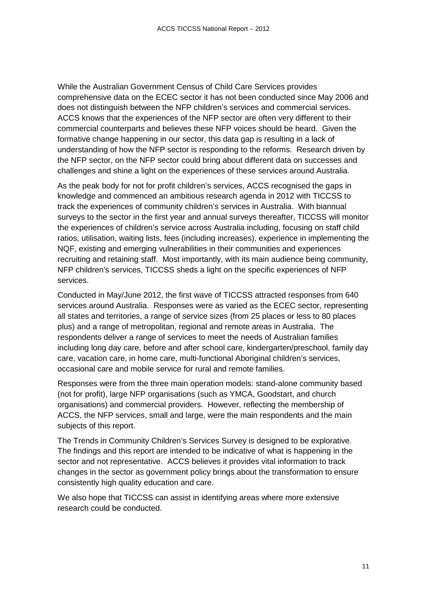While the Australian Government Census of Child Care Services provides comprehensive data on the ECEC sector it has not been conducted since May 2006 and does not distinguish between the NFP children's services and commercial services. ACCS knows that the experiences of the NFP sector are often very different to their commercial counterparts and believes these NFP voices should be heard. Given the formative change happening in our sector, this data gap is resulting in a lack of understanding of how the NFP sector is responding to the reforms. Research driven by the NFP sector, on the NFP sector could bring about different data on successes and challenges and shine a light on the experiences of these services around Australia.

As the peak body for not for profit children's services, ACCS recognised the gaps in knowledge and commenced an ambitious research agenda in 2012 with TICCSS to track the experiences of community children's services in Australia. With biannual surveys to the sector in the first year and annual surveys thereafter, TICCSS will monitor the experiences of children's service across Australia including, focusing on staff child ratios, utilisation, waiting lists, fees (including increases), experience in implementing the NQF, existing and emerging vulnerabilities in their communities and experiences recruiting and retaining staff. Most importantly, with its main audience being community, NFP children's services, TICCSS sheds a light on the specific experiences of NFP services.

Conducted in May/June 2012, the first wave of TICCSS attracted responses from 640 services around Australia. Responses were as varied as the ECEC sector, representing all states and territories, a range of service sizes (from 25 places or less to 80 places plus) and a range of metropolitan, regional and remote areas in Australia. The respondents deliver a range of services to meet the needs of Australian families including long day care, before and after school care, kindergarten/preschool, family day care, vacation care, in home care, multi-functional Aboriginal children's services, occasional care and mobile service for rural and remote families.

Responses were from the three main operation models: stand-alone community based (not for profit), large NFP organisations (such as YMCA, Goodstart, and church organisations) and commercial providers. However, reflecting the membership of ACCS, the NFP services, small and large, were the main respondents and the main subjects of this report.

The Trends in Community Children's Services Survey is designed to be explorative. The findings and this report are intended to be indicative of what is happening in the sector and not representative. ACCS believes it provides vital information to track changes in the sector as government policy brings about the transformation to ensure consistently high quality education and care.

We also hope that TICCSS can assist in identifying areas where more extensive research could be conducted.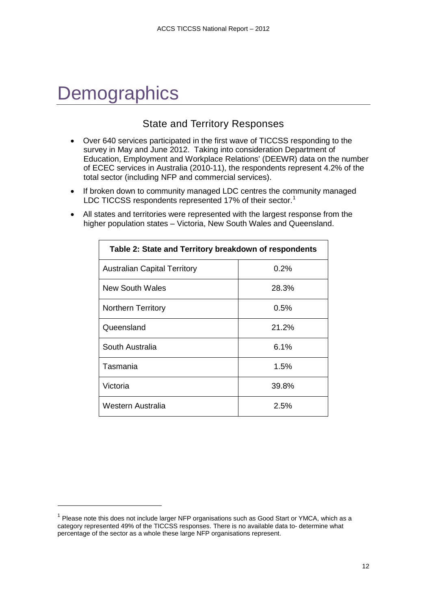## <span id="page-11-0"></span>**Demographics**

j

### State and Territory Responses

- <span id="page-11-1"></span>• Over 640 services participated in the first wave of TICCSS responding to the survey in May and June 2012. Taking into consideration Department of Education, Employment and Workplace Relations' (DEEWR) data on the number of ECEC services in Australia (2010-11), the respondents represent 4.2% of the total sector (including NFP and commercial services).
- If broken down to community managed LDC centres the community managed LDC TICCSS respondents represented [1](#page-11-3)7% of their sector.<sup>1</sup>
- All states and territories were represented with the largest response from the higher population states – Victoria, New South Wales and Queensland.

<span id="page-11-2"></span>

| Table 2: State and Territory breakdown of respondents |         |  |
|-------------------------------------------------------|---------|--|
| <b>Australian Capital Territory</b>                   | 0.2%    |  |
| New South Wales                                       | 28.3%   |  |
| Northern Territory                                    | $0.5\%$ |  |
| Queensland                                            | 21.2%   |  |
| South Australia                                       | 6.1%    |  |
| Tasmania                                              | 1.5%    |  |
| Victoria                                              | 39.8%   |  |
| Western Australia                                     | 2.5%    |  |

<span id="page-11-3"></span> $1$  Please note this does not include larger NFP organisations such as Good Start or YMCA, which as a category represented 49% of the TICCSS responses. There is no available data to- determine what percentage of the sector as a whole these large NFP organisations represent.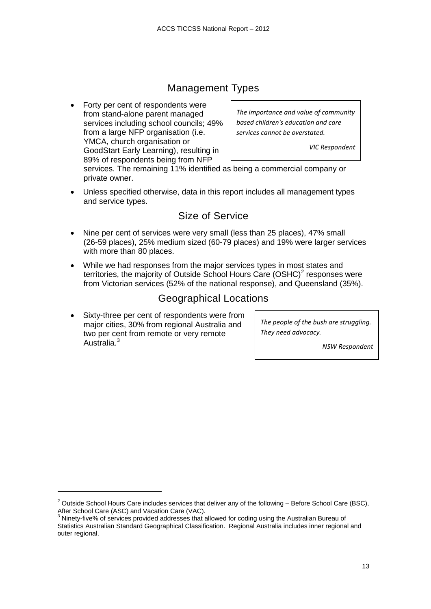### Management Types

<span id="page-12-0"></span>• Forty per cent of respondents were from stand-alone parent managed services including school councils; 49% from a large NFP organisation (i.e. YMCA, church organisation or GoodStart Early Learning), resulting in 89% of respondents being from NFP

*The importance and value of community based children's education and care services cannot be overstated.*

*VIC Respondent*

services. The remaining 11% identified as being a commercial company or private owner.

• Unless specified otherwise, data in this report includes all management types and service types.

#### Size of Service

- <span id="page-12-1"></span>• Nine per cent of services were very small (less than 25 places), 47% small (26-59 places), 25% medium sized (60-79 places) and 19% were larger services with more than 80 places.
- While we had responses from the major services types in most states and territories, the majority of Outside School Hours Care  $(OSHC)<sup>2</sup>$  $(OSHC)<sup>2</sup>$  $(OSHC)<sup>2</sup>$  responses were from Victorian services (52% of the national response), and Queensland (35%).

#### Geographical Locations

<span id="page-12-2"></span>Sixty-three per cent of respondents were from major cities, 30% from regional Australia and two per cent from remote or very remote Australia.<sup>[3](#page-12-4)</sup>

j

*The people of the bush are struggling. They need advocacy.*

*NSW Respondent*

<span id="page-12-3"></span> $2$  Outside School Hours Care includes services that deliver any of the following – Before School Care (BSC), After School Care (ASC) and Vacation Care (VAC).

<span id="page-12-4"></span>Ninety-five% of services provided addresses that allowed for coding using the Australian Bureau of Statistics Australian Standard Geographical Classification. Regional Australia includes inner regional and outer regional.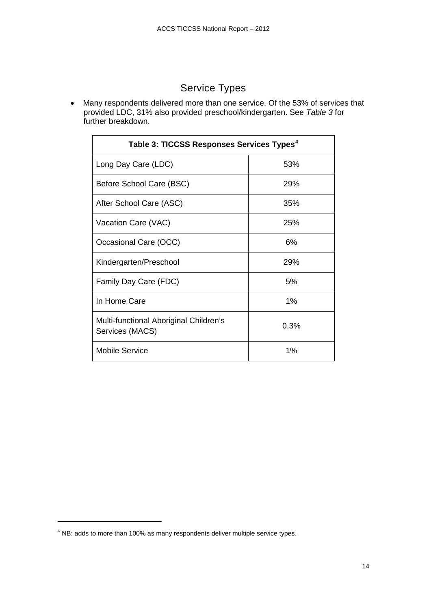## Service Types

• Many respondents delivered more than one service. Of the 53% of services that provided LDC, 31% also provided preschool/kindergarten. See *Table 3* for further breakdown.

<span id="page-13-0"></span>

| Table 3: TICCSS Responses Services Types <sup>4</sup>     |      |  |
|-----------------------------------------------------------|------|--|
| Long Day Care (LDC)                                       | 53%  |  |
| Before School Care (BSC)                                  | 29%  |  |
| After School Care (ASC)                                   | 35%  |  |
| Vacation Care (VAC)                                       | 25%  |  |
| Occasional Care (OCC)                                     | 6%   |  |
| Kindergarten/Preschool                                    | 29%  |  |
| Family Day Care (FDC)                                     | 5%   |  |
| In Home Care                                              | 1%   |  |
| Multi-functional Aboriginal Children's<br>Services (MACS) | 0.3% |  |
| <b>Mobile Service</b>                                     | 1%   |  |

j

<span id="page-13-1"></span><sup>&</sup>lt;sup>4</sup> NB: adds to more than 100% as many respondents deliver multiple service types.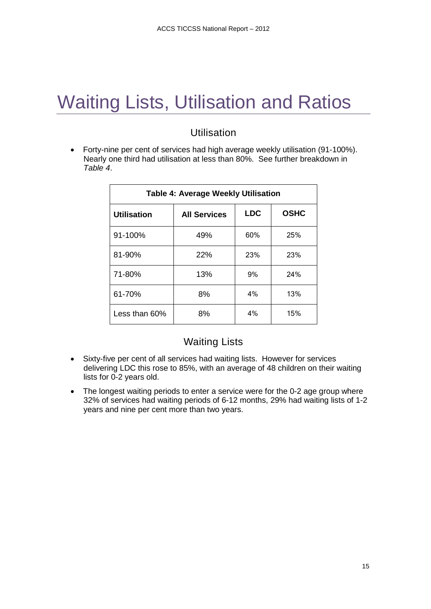## <span id="page-14-0"></span>Waiting Lists, Utilisation and Ratios

### Utilisation

<span id="page-14-1"></span>• Forty-nine per cent of services had high average weekly utilisation (91-100%). Nearly one third had utilisation at less than 80%. See further breakdown in *Table 4*.

<span id="page-14-3"></span>

| <b>Table 4: Average Weekly Utilisation</b> |                     |            |             |
|--------------------------------------------|---------------------|------------|-------------|
| <b>Utilisation</b>                         | <b>All Services</b> | <b>LDC</b> | <b>OSHC</b> |
| 91-100%                                    | 49%                 | 60%        | 25%         |
| 81-90%                                     | 22%                 | 23%        | 23%         |
| 71-80%                                     | 13%                 | 9%         | 24%         |
| 61-70%                                     | 8%                  | 4%         | 13%         |
| Less than $60\%$                           | 8%                  | 4%         | 15%         |

#### Waiting Lists

- <span id="page-14-2"></span>• Sixty-five per cent of all services had waiting lists. However for services delivering LDC this rose to 85%, with an average of 48 children on their waiting lists for 0-2 years old.
- The longest waiting periods to enter a service were for the 0-2 age group where 32% of services had waiting periods of 6-12 months, 29% had waiting lists of 1-2 years and nine per cent more than two years.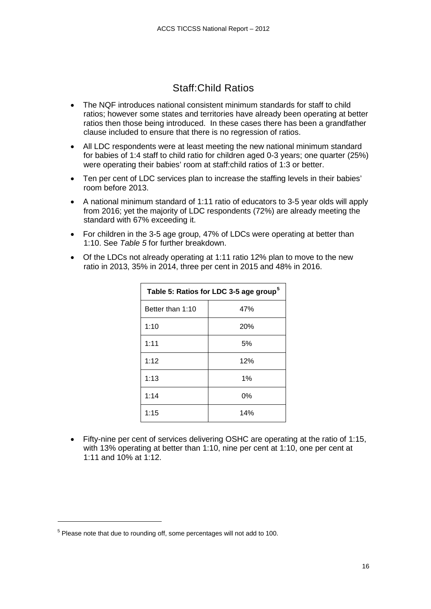### Staff:Child Ratios

- <span id="page-15-0"></span>• The NQF introduces national consistent minimum standards for staff to child ratios; however some states and territories have already been operating at better ratios then those being introduced. In these cases there has been a grandfather clause included to ensure that there is no regression of ratios.
- All LDC respondents were at least meeting the new national minimum standard for babies of 1:4 staff to child ratio for children aged 0-3 years; one quarter (25%) were operating their babies' room at staff:child ratios of 1:3 or better.
- Ten per cent of LDC services plan to increase the staffing levels in their babies' room before 2013.
- A national minimum standard of 1:11 ratio of educators to 3-5 year olds will apply from 2016; yet the majority of LDC respondents (72%) are already meeting the standard with 67% exceeding it.
- For children in the 3-5 age group, 47% of LDCs were operating at better than 1:10. See *Table 5* for further breakdown.
- Of the LDCs not already operating at 1:11 ratio 12% plan to move to the new ratio in 2013, 35% in 2014, three per cent in 2015 and 48% in 2016.

<span id="page-15-1"></span>

| Table 5: Ratios for LDC 3-5 age group <sup>5</sup> |     |  |
|----------------------------------------------------|-----|--|
| Better than 1:10                                   | 47% |  |
| 1:10                                               | 20% |  |
| 1:11                                               | 5%  |  |
| 1:12                                               | 12% |  |
| 1:13                                               | 1%  |  |
| 1:14                                               | 0%  |  |
| 1:15                                               | 14% |  |

• Fifty-nine per cent of services delivering OSHC are operating at the ratio of 1:15, with 13% operating at better than 1:10, nine per cent at 1:10, one per cent at 1:11 and 10% at 1:12.

j

<span id="page-15-2"></span><sup>5</sup> Please note that due to rounding off, some percentages will not add to 100.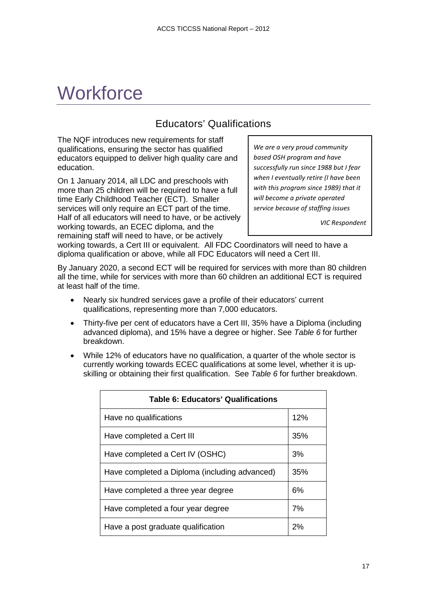## <span id="page-16-0"></span>**Workforce**

### Educators' Qualifications

<span id="page-16-1"></span>The NQF introduces new requirements for staff qualifications, ensuring the sector has qualified educators equipped to deliver high quality care and education.

On 1 January 2014, all LDC and preschools with more than 25 children will be required to have a full time Early Childhood Teacher (ECT). Smaller services will only require an ECT part of the time. Half of all educators will need to have, or be actively working towards, an ECEC diploma, and the remaining staff will need to have, or be actively

*We are a very proud community based OSH program and have successfully run since 1988 but I fear when I eventually retire (I have been with this program since 1989) that it will become a private operated service because of staffing issues*

*VIC Respondent*

working towards, a Cert III or equivalent. All FDC Coordinators will need to have a diploma qualification or above, while all FDC Educators will need a Cert III.

By January 2020, a second ECT will be required for services with more than 80 children all the time, while for services with more than 60 children an additional ECT is required at least half of the time.

- Nearly six hundred services gave a profile of their educators' current qualifications, representing more than 7,000 educators.
- Thirty-five per cent of educators have a Cert III, 35% have a Diploma (including advanced diploma), and 15% have a degree or higher. See *Table 6* for further breakdown.
- While 12% of educators have no qualification, a quarter of the whole sector is currently working towards ECEC qualifications at some level, whether it is upskilling or obtaining their first qualification. See *Table 6* for further breakdown.

<span id="page-16-2"></span>

| <b>Table 6: Educators' Qualifications</b>     |     |  |
|-----------------------------------------------|-----|--|
| Have no qualifications                        | 12% |  |
| Have completed a Cert III                     | 35% |  |
| Have completed a Cert IV (OSHC)               | 3%  |  |
| Have completed a Diploma (including advanced) | 35% |  |
| Have completed a three year degree            | 6%  |  |
| Have completed a four year degree             | 7%  |  |
| Have a post graduate qualification            | 2%  |  |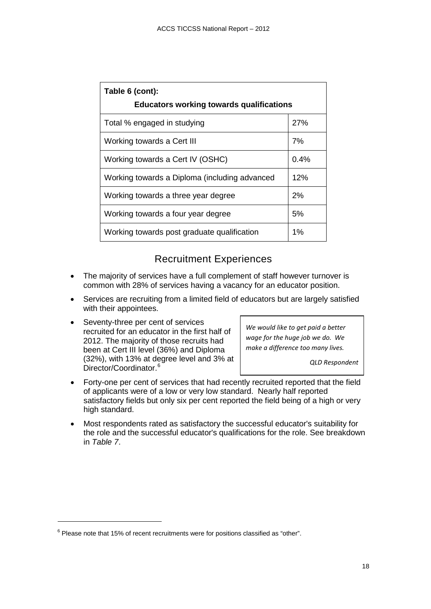| Table 6 (cont):<br><b>Educators working towards qualifications</b> |       |  |
|--------------------------------------------------------------------|-------|--|
| Total % engaged in studying                                        | 27%   |  |
| Working towards a Cert III                                         | 7%    |  |
| Working towards a Cert IV (OSHC)                                   | 0.4%  |  |
| Working towards a Diploma (including advanced                      | 12%   |  |
| Working towards a three year degree                                | 2%    |  |
| Working towards a four year degree                                 | 5%    |  |
| Working towards post graduate qualification                        | $1\%$ |  |

#### Recruitment Experiences

- <span id="page-17-0"></span>• The majority of services have a full complement of staff however turnover is common with 28% of services having a vacancy for an educator position.
- Services are recruiting from a limited field of educators but are largely satisfied with their appointees.
- Seventy-three per cent of services recruited for an educator in the first half of 2012. The majority of those recruits had been at Cert III level (36%) and Diploma (32%), with 13% at degree level and 3% at Director/Coordinator.<sup>[6](#page-17-1)</sup>

*We would like to get paid a better wage for the huge job we do. We make a difference too many lives.* 

*QLD Respondent* 

- Forty-one per cent of services that had recently recruited reported that the field of applicants were of a low or very low standard. Nearly half reported satisfactory fields but only six per cent reported the field being of a high or very high standard.
- Most respondents rated as satisfactory the successful educator's suitability for the role and the successful educator's qualifications for the role. See breakdown in *Table 7*.

j

<span id="page-17-1"></span> $6$  Please note that 15% of recent recruitments were for positions classified as "other".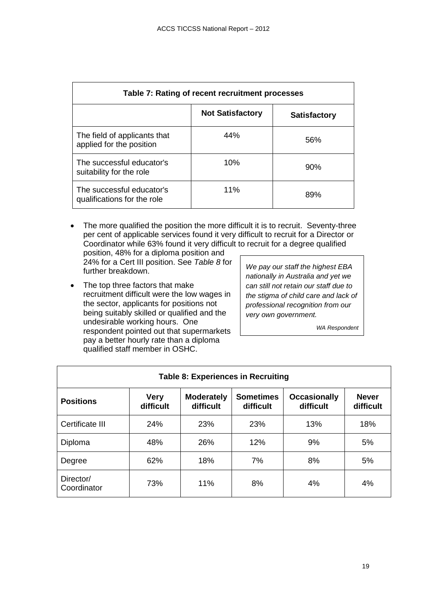<span id="page-18-0"></span>

| Table 7: Rating of recent recruitment processes          |                         |                     |  |
|----------------------------------------------------------|-------------------------|---------------------|--|
|                                                          | <b>Not Satisfactory</b> | <b>Satisfactory</b> |  |
| The field of applicants that<br>applied for the position | 44%                     | 56%                 |  |
| The successful educator's<br>suitability for the role    | 10%                     | 90%                 |  |
| The successful educator's<br>qualifications for the role | 11%                     | 89%                 |  |

• The more qualified the position the more difficult it is to recruit. Seventy-three per cent of applicable services found it very difficult to recruit for a Director or Coordinator while 63% found it very difficult to recruit for a degree qualified position, 48% for a diploma position and

24% for a Cert III position. See *Table 8* for further breakdown.

• The top three factors that make recruitment difficult were the low wages in the sector, applicants for positions not being suitably skilled or qualified and the undesirable working hours. One respondent pointed out that supermarkets pay a better hourly rate than a diploma qualified staff member in OSHC.

*We pay our staff the highest EBA nationally in Australia and yet we can still not retain our staff due to the stigma of child care and lack of professional recognition from our very own government.*

*WA Respondent*

<span id="page-18-1"></span>

| <b>Table 8: Experiences in Recruiting</b> |                          |                                |                               |                                  |                           |
|-------------------------------------------|--------------------------|--------------------------------|-------------------------------|----------------------------------|---------------------------|
| <b>Positions</b>                          | <b>Very</b><br>difficult | <b>Moderately</b><br>difficult | <b>Sometimes</b><br>difficult | <b>Occasionally</b><br>difficult | <b>Never</b><br>difficult |
| Certificate III                           | 24%                      | 23%                            | 23%                           | 13%                              | 18%                       |
| Diploma                                   | 48%                      | 26%                            | 12%                           | 9%                               | 5%                        |
| Degree                                    | 62%                      | 18%                            | 7%                            | 8%                               | 5%                        |
| Director/<br>Coordinator                  | 73%                      | 11%                            | 8%                            | 4%                               | 4%                        |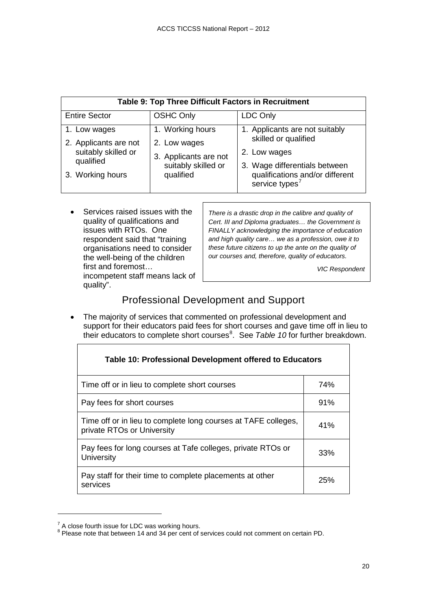<span id="page-19-1"></span>

| Table 9: Top Three Difficult Factors in Recruitment                       |                                                                                               |                                                                                                         |  |
|---------------------------------------------------------------------------|-----------------------------------------------------------------------------------------------|---------------------------------------------------------------------------------------------------------|--|
| <b>Entire Sector</b>                                                      | <b>OSHC Only</b>                                                                              | <b>LDC Only</b>                                                                                         |  |
| 1. Low wages<br>2. Applicants are not<br>suitably skilled or<br>qualified | 1. Working hours<br>2. Low wages<br>3. Applicants are not<br>suitably skilled or<br>qualified | 1. Applicants are not suitably<br>skilled or qualified<br>2. Low wages<br>3. Wage differentials between |  |
| 3. Working hours                                                          |                                                                                               | qualifications and/or different<br>service types <sup>7</sup>                                           |  |

 $\Gamma$ 

| Services raised issues with the<br>quality of qualifications and<br>issues with RTOs. One<br>respondent said that "training<br>organisations need to consider<br>the well-being of the children<br>first and foremost<br>incompetent staff means lack of | There is a drastic drop in the calibre and quality of<br>Cert. III and Diploma graduates the Government is<br>FINALLY acknowledging the importance of education<br>and high quality care we as a profession, owe it to<br>these future citizens to up the ante on the quality of<br>our courses and, therefore, quality of educators.<br><b>VIC Respondent</b> |
|----------------------------------------------------------------------------------------------------------------------------------------------------------------------------------------------------------------------------------------------------------|----------------------------------------------------------------------------------------------------------------------------------------------------------------------------------------------------------------------------------------------------------------------------------------------------------------------------------------------------------------|
| quality".                                                                                                                                                                                                                                                |                                                                                                                                                                                                                                                                                                                                                                |

### Professional Development and Support

<span id="page-19-0"></span>• The majority of services that commented on professional development and support for their educators paid fees for short courses and gave time off in lieu to their educators to complete short courses<sup>[8](#page-19-4)</sup>. See Table 10 for further breakdown.

<span id="page-19-2"></span>

| Table 10: Professional Development offered to Educators                                      |     |  |
|----------------------------------------------------------------------------------------------|-----|--|
| Time off or in lieu to complete short courses                                                | 74% |  |
| Pay fees for short courses                                                                   | 91% |  |
| Time off or in lieu to complete long courses at TAFE colleges,<br>private RTOs or University | 41% |  |
| Pay fees for long courses at Tafe colleges, private RTOs or<br>University                    | 33% |  |
| Pay staff for their time to complete placements at other<br>services                         | 25% |  |

j

 $\mathsf I$ 

<span id="page-19-4"></span><span id="page-19-3"></span> $\frac{7}{8}$  A close fourth issue for LDC was working hours.<br> $\frac{8}{8}$  Please note that between 14 and 34 per cent of services could not comment on certain PD.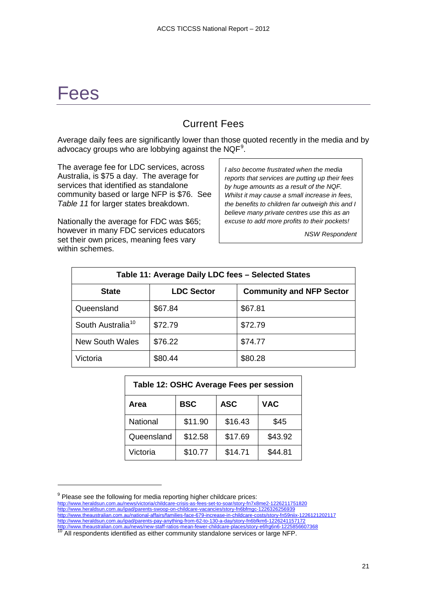## <span id="page-20-0"></span>Fees

j

### Current Fees

<span id="page-20-1"></span>Average daily fees are significantly lower than those quoted recently in the media and by advocacy groups who are lobbying against the NQF $^{\rm 9}$  $^{\rm 9}$  $^{\rm 9}$ .

The average fee for LDC services, across Australia, is \$75 a day. The average for services that identified as standalone community based or large NFP is \$76. See *Table 11* for larger states breakdown.

Nationally the average for FDC was \$65; however in many FDC services educators set their own prices, meaning fees vary within schemes.

*I also become frustrated when the media reports that services are putting up their fees by huge amounts as a result of the NQF. Whilst it may cause a small increase in fees, the benefits to children far outweigh this and I believe many private centres use this as an excuse to add more profits to their pockets!*

*NSW Respondent*

<span id="page-20-2"></span>

| Table 11: Average Daily LDC fees - Selected States |                   |                                 |  |
|----------------------------------------------------|-------------------|---------------------------------|--|
| <b>State</b>                                       | <b>LDC Sector</b> | <b>Community and NFP Sector</b> |  |
| Queensland                                         | \$67.84           | \$67.81                         |  |
| South Australia <sup>10</sup>                      | \$72.79           | \$72.79                         |  |
| New South Wales                                    | \$76.22           | \$74.77                         |  |
| Victoria                                           | \$80.44           | \$80.28                         |  |

<span id="page-20-3"></span>

| Table 12: OSHC Average Fees per session |            |            |            |  |
|-----------------------------------------|------------|------------|------------|--|
| Area                                    | <b>BSC</b> | <b>ASC</b> | <b>VAC</b> |  |
| <b>National</b>                         | \$11.90    | \$16.43    | \$45       |  |
| Queensland                              | \$12.58    | \$17.69    | \$43.92    |  |
| Victoria                                | \$10.77    | \$14.71    | \$44.81    |  |

<span id="page-20-4"></span> $9$  Please see the following for media reporting higher childcare prices: <http://www.heraldsun.com.au/news/victoria/childcare-crisis-as-fees-set-to-soar/story-fn7x8me2-1226211751820> <http://www.heraldsun.com.au/ipad/parents-swoop-on-childcare-vacancies/story-fn6bfmgc-1226326256939> <http://www.theaustralian.com.au/national-affairs/families-face-679-increase-in-childcare-costs/story-fn59niix-1226121202117> <http://www.heraldsun.com.au/ipad/parents-pay-anything-from-62-to-130-a-day/story-fn6bfkm6-1226241157172> http://www.theaustralian.com.au/news/new-staff-ratios-mean-fewer-childcare-places story-e-fraction-<br><sup>10</sup> All respondents identified as either community standalone services or large NFP.

<span id="page-20-5"></span>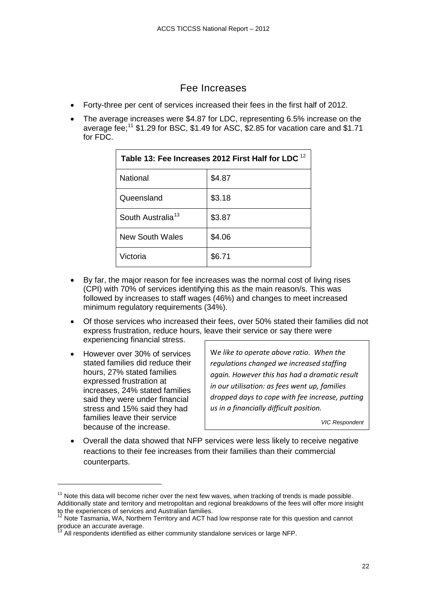#### Fee Increases

- <span id="page-21-0"></span>• Forty-three per cent of services increased their fees in the first half of 2012.
- The average increases were \$4.87 for LDC, representing 6.5% increase on the average fee;<sup>[11](#page-21-2)</sup> \$1.29 for BSC, \$1.49 for ASC, \$2.85 for vacation care and \$1.71 for FDC.

<span id="page-21-1"></span>

| Table 13: Fee Increases 2012 First Half for LDC <sup>12</sup> |        |  |
|---------------------------------------------------------------|--------|--|
| <b>National</b>                                               | \$4.87 |  |
| Queensland                                                    | \$3.18 |  |
| South Australia <sup>13</sup>                                 | \$3.87 |  |
| <b>New South Wales</b>                                        | \$4.06 |  |
| Victoria                                                      | \$6.71 |  |

- By far, the major reason for fee increases was the normal cost of living rises (CPI) with 70% of services identifying this as the main reason/s. This was followed by increases to staff wages (46%) and changes to meet increased minimum regulatory requirements (34%).
- Of those services who increased their fees, over 50% stated their families did not express frustration, reduce hours, leave their service or say there were experiencing financial stress.
- However over 30% of services stated families did reduce their hours, 27% stated families expressed frustration at increases, 24% stated families said they were under financial stress and 15% said they had families leave their service because of the increase.

j

W*e like to operate above ratio. When the regulations changed we increased staffing again. However this has had a dramatic result in our utilisation: as fees went up, families dropped days to cope with fee increase, putting us in a financially difficult position.*

*VIC Respondent*

• Overall the data showed that NFP services were less likely to receive negative reactions to their fee increases from their families than their commercial counterparts.

<span id="page-21-2"></span> $11$  Note this data will become richer over the next few waves, when tracking of trends is made possible. Additionally state and territory and metropolitan and regional breakdowns of the fees will offer more insight<br>to the experiences of services and Australian families.

<span id="page-21-4"></span><span id="page-21-3"></span>Note Tasmania, WA, Northern Territory and ACT had low response rate for this question and cannot produce an accurate average.

 $3$  All respondents identified as either community standalone services or large NFP.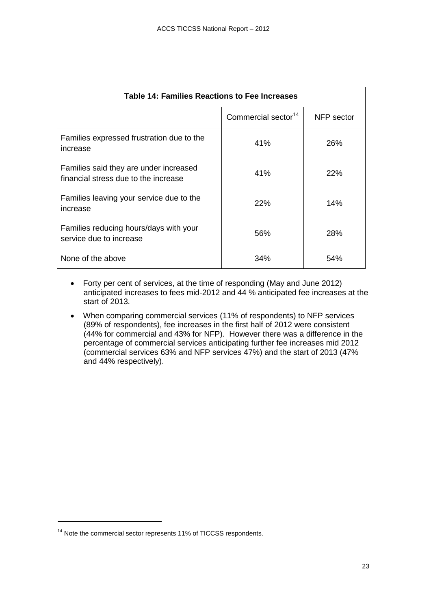<span id="page-22-0"></span>

| Table 14: Families Reactions to Fee Increases                                  |                                 |            |  |
|--------------------------------------------------------------------------------|---------------------------------|------------|--|
|                                                                                | Commercial sector <sup>14</sup> | NFP sector |  |
| Families expressed frustration due to the<br>increase                          | 41%                             | 26%        |  |
| Families said they are under increased<br>financial stress due to the increase | 41%                             | 22%        |  |
| Families leaving your service due to the<br>increase                           | 22%                             | 14%        |  |
| Families reducing hours/days with your<br>service due to increase              | 56%                             | 28%        |  |
| None of the above                                                              | 34%                             | 54%        |  |

- Forty per cent of services, at the time of responding (May and June 2012) anticipated increases to fees mid-2012 and 44 % anticipated fee increases at the start of 2013.
- When comparing commercial services (11% of respondents) to NFP services (89% of respondents), fee increases in the first half of 2012 were consistent (44% for commercial and 43% for NFP). However there was a difference in the percentage of commercial services anticipating further fee increases mid 2012 (commercial services 63% and NFP services 47%) and the start of 2013 (47% and 44% respectively).

j

<span id="page-22-1"></span><sup>&</sup>lt;sup>14</sup> Note the commercial sector represents 11% of TICCSS respondents.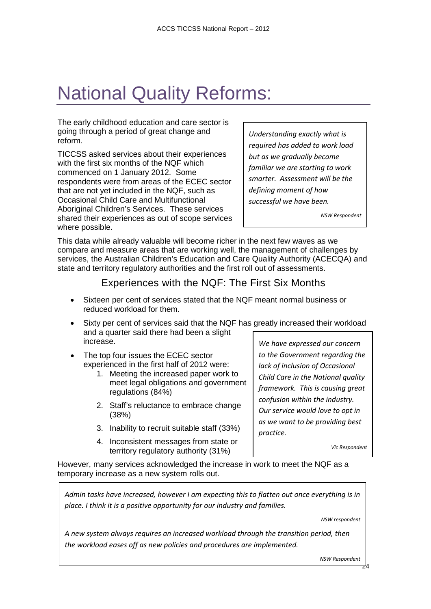## <span id="page-23-0"></span>National Quality Reforms:

The early childhood education and care sector is going through a period of great change and reform.

TICCSS asked services about their experiences with the first six months of the NQF which commenced on 1 January 2012. Some respondents were from areas of the ECEC sector that are not yet included in the NQF, such as Occasional Child Care and Multifunctional Aboriginal Children's Services. These services shared their experiences as out of scope services where possible.

*Understanding exactly what is required has added to work load but as we gradually become familiar we are starting to work smarter. Assessment will be the defining moment of how successful we have been.*

*NSW Respondent*

This data while already valuable will become richer in the next few waves as we compare and measure areas that are working well, the management of challenges by services, the Australian Children's Education and Care Quality Authority (ACECQA) and state and territory regulatory authorities and the first roll out of assessments.

#### Experiences with the NQF: The First Six Months

- <span id="page-23-1"></span>Sixteen per cent of services stated that the NQF meant normal business or reduced workload for them.
- Sixty per cent of services said that the NQF has greatly increased their workload and a quarter said there had been a slight increase.
- The top four issues the ECEC sector experienced in the first half of 2012 were:
	- 1. Meeting the increased paper work to meet legal obligations and government regulations (84%)
	- 2. Staff's reluctance to embrace change (38%)
	- 3. Inability to recruit suitable staff (33%)
	- 4. Inconsistent messages from state or territory regulatory authority (31%)

*We have expressed our concern to the Government regarding the lack of inclusion of Occasional Child Care in the National quality framework. This is causing great confusion within the industry. Our service would love to opt in as we want to be providing best practice.*

*Vic Respondent*

However, many services acknowledged the increase in work to meet the NQF as a temporary increase as a new system rolls out.

*Admin tasks have increased, however I am expecting this to flatten out once everything is in place. I think it is a positive opportunity for our industry and families.*

*NSW respondent*

*A new system always requires an increased workload through the transition period, then the workload eases off as new policies and procedures are implemented.*

*NSW Respondent*

24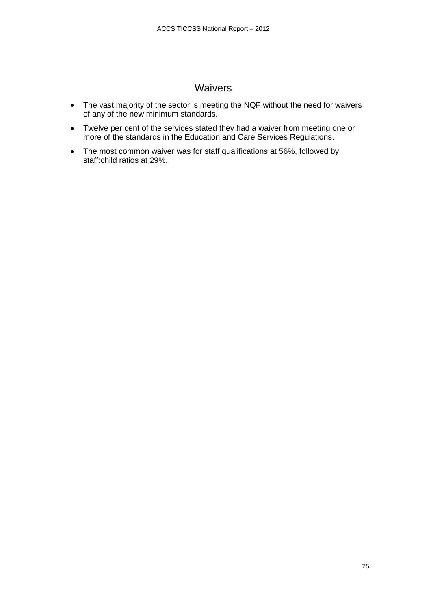### Waivers

- <span id="page-24-0"></span>• The vast majority of the sector is meeting the NQF without the need for waivers of any of the new minimum standards.
- Twelve per cent of the services stated they had a waiver from meeting one or more of the standards in the Education and Care Services Regulations.
- The most common waiver was for staff qualifications at 56%, followed by staff:child ratios at 29%.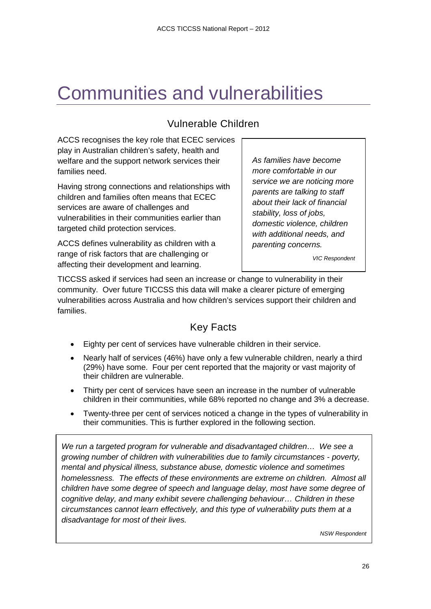## <span id="page-25-0"></span>Communities and vulnerabilities

### Vulnerable Children

<span id="page-25-1"></span>ACCS recognises the key role that ECEC services play in Australian children's safety, health and welfare and the support network services their families need.

Having strong connections and relationships with children and families often means that ECEC services are aware of challenges and vulnerabilities in their communities earlier than targeted child protection services.

ACCS defines vulnerability as children with a range of risk factors that are challenging or affecting their development and learning.

*As families have become more comfortable in our service we are noticing more parents are talking to staff about their lack of financial stability, loss of jobs, domestic violence, children with additional needs, and parenting concerns.*

*VIC Respondent*

TICCSS asked if services had seen an increase or change to vulnerability in their community. Over future TICCSS this data will make a clearer picture of emerging vulnerabilities across Australia and how children's services support their children and families.

### Key Facts

- <span id="page-25-2"></span>• Eighty per cent of services have vulnerable children in their service.
- Nearly half of services (46%) have only a few vulnerable children, nearly a third (29%) have some. Four per cent reported that the majority or vast majority of their children are vulnerable.
- Thirty per cent of services have seen an increase in the number of vulnerable children in their communities, while 68% reported no change and 3% a decrease.
- Twenty-three per cent of services noticed a change in the types of vulnerability in their communities. This is further explored in the following section.

*We run a targeted program for vulnerable and disadvantaged children… We see a growing number of children with vulnerabilities due to family circumstances - poverty, mental and physical illness, substance abuse, domestic violence and sometimes homelessness. The effects of these environments are extreme on children. Almost all children have some degree of speech and language delay, most have some degree of cognitive delay, and many exhibit severe challenging behaviour… Children in these circumstances cannot learn effectively, and this type of vulnerability puts them at a disadvantage for most of their lives.*

*NSW Respondent*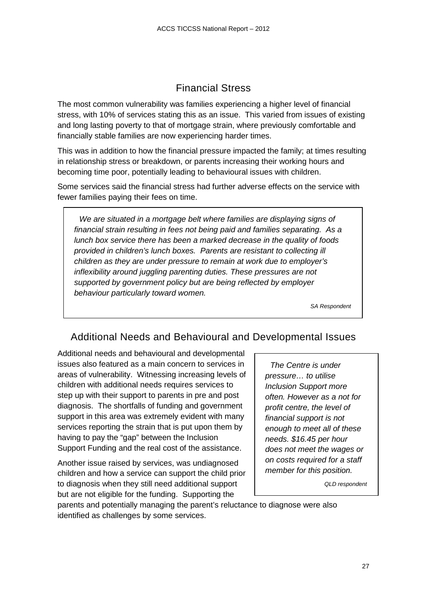### Financial Stress

<span id="page-26-0"></span>The most common vulnerability was families experiencing a higher level of financial stress, with 10% of services stating this as an issue. This varied from issues of existing and long lasting poverty to that of mortgage strain, where previously comfortable and financially stable families are now experiencing harder times.

This was in addition to how the financial pressure impacted the family; at times resulting in relationship stress or breakdown, or parents increasing their working hours and becoming time poor, potentially leading to behavioural issues with children.

Some services said the financial stress had further adverse effects on the service with fewer families paying their fees on time.

*We are situated in a mortgage belt where families are displaying signs of financial strain resulting in fees not being paid and families separating. As a lunch box service there has been a marked decrease in the quality of foods provided in children's lunch boxes. Parents are resistant to collecting ill children as they are under pressure to remain at work due to employer's inflexibility around juggling parenting duties. These pressures are not supported by government policy but are being reflected by employer behaviour particularly toward women.*

*SA Respondent*

#### <span id="page-26-1"></span>Additional Needs and Behavioural and Developmental Issues

Additional needs and behavioural and developmental issues also featured as a main concern to services in areas of vulnerability. Witnessing increasing levels of children with additional needs requires services to step up with their support to parents in pre and post diagnosis. The shortfalls of funding and government support in this area was extremely evident with many services reporting the strain that is put upon them by having to pay the "gap" between the Inclusion Support Funding and the real cost of the assistance.

Another issue raised by services, was undiagnosed children and how a service can support the child prior to diagnosis when they still need additional support but are not eligible for the funding. Supporting the

*The Centre is under pressure… to utilise Inclusion Support more often. However as a not for profit centre, the level of financial support is not enough to meet all of these needs. \$16.45 per hour does not meet the wages or on costs required for a staff member for this position.*

*QLD respondent*

parents and potentially managing the parent's reluctance to diagnose were also identified as challenges by some services.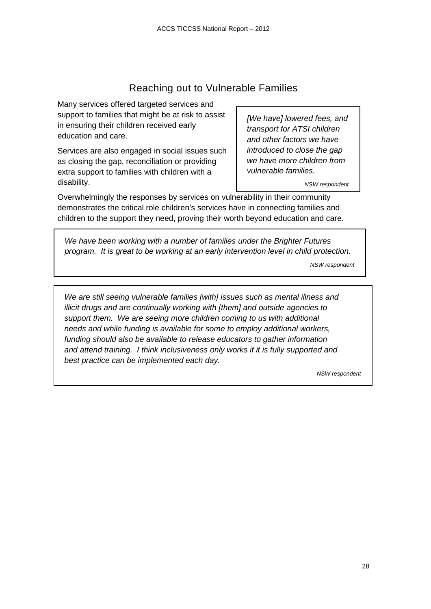### Reaching out to Vulnerable Families

<span id="page-27-0"></span>Many services offered targeted services and support to families that might be at risk to assist in ensuring their children received early education and care.

Services are also engaged in social issues such as closing the gap, reconciliation or providing extra support to families with children with a disability.

*[We have] lowered fees, and transport for ATSI children and other factors we have introduced to close the gap we have more children from vulnerable families.* 

*NSW respondent*

Overwhelmingly the responses by services on vulnerability in their community demonstrates the critical role children's services have in connecting families and children to the support they need, proving their worth beyond education and care.

*We have been working with a number of families under the Brighter Futures program. It is great to be working at an early intervention level in child protection. NSW respondent*

*We are still seeing vulnerable families [with] issues such as mental illness and illicit drugs and are continually working with [them] and outside agencies to support them. We are seeing more children coming to us with additional needs and while funding is available for some to employ additional workers, funding should also be available to release educators to gather information and attend training. I think inclusiveness only works if it is fully supported and best practice can be implemented each day.*

*NSW respondent*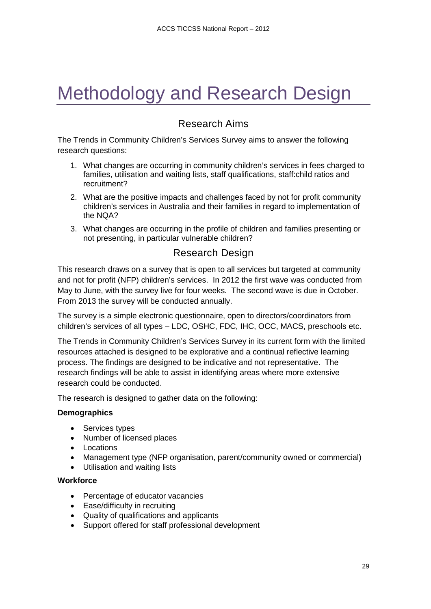## <span id="page-28-0"></span>Methodology and Research Design

### Research Aims

<span id="page-28-1"></span>The Trends in Community Children's Services Survey aims to answer the following research questions:

- 1. What changes are occurring in community children's services in fees charged to families, utilisation and waiting lists, staff qualifications, staff:child ratios and recruitment?
- 2. What are the positive impacts and challenges faced by not for profit community children's services in Australia and their families in regard to implementation of the NQA?
- 3. What changes are occurring in the profile of children and families presenting or not presenting, in particular vulnerable children?

#### Research Design

<span id="page-28-2"></span>This research draws on a survey that is open to all services but targeted at community and not for profit (NFP) children's services. In 2012 the first wave was conducted from May to June, with the survey live for four weeks. The second wave is due in October. From 2013 the survey will be conducted annually.

The survey is a simple electronic questionnaire, open to directors/coordinators from children's services of all types – LDC, OSHC, FDC, IHC, OCC, MACS, preschools etc.

The Trends in Community Children's Services Survey in its current form with the limited resources attached is designed to be explorative and a continual reflective learning process. The findings are designed to be indicative and not representative. The research findings will be able to assist in identifying areas where more extensive research could be conducted.

The research is designed to gather data on the following:

#### **Demographics**

- Services types
- Number of licensed places
- Locations
- Management type (NFP organisation, parent/community owned or commercial)
- Utilisation and waiting lists

#### **Workforce**

- Percentage of educator vacancies
- Ease/difficulty in recruiting
- Quality of qualifications and applicants
- Support offered for staff professional development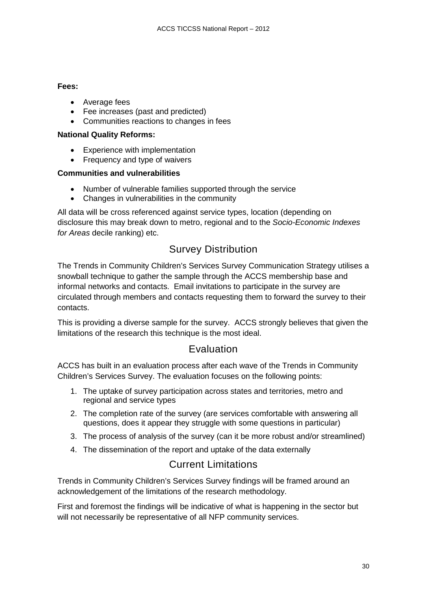#### **Fees:**

- Average fees
- Fee increases (past and predicted)
- Communities reactions to changes in fees

#### **National Quality Reforms:**

- Experience with implementation
- Frequency and type of waivers

#### **Communities and vulnerabilities**

- Number of vulnerable families supported through the service
- Changes in vulnerabilities in the community

All data will be cross referenced against service types, location (depending on disclosure this may break down to metro, regional and to the *Socio-Economic Indexes for Areas* decile ranking) etc.

#### Survey Distribution

<span id="page-29-0"></span>The Trends in Community Children's Services Survey Communication Strategy utilises a snowball technique to gather the sample through the ACCS membership base and informal networks and contacts. Email invitations to participate in the survey are circulated through members and contacts requesting them to forward the survey to their contacts.

This is providing a diverse sample for the survey. ACCS strongly believes that given the limitations of the research this technique is the most ideal.

#### Evaluation

<span id="page-29-1"></span>ACCS has built in an evaluation process after each wave of the Trends in Community Children's Services Survey. The evaluation focuses on the following points:

- 1. The uptake of survey participation across states and territories, metro and regional and service types
- 2. The completion rate of the survey (are services comfortable with answering all questions, does it appear they struggle with some questions in particular)
- 3. The process of analysis of the survey (can it be more robust and/or streamlined)
- <span id="page-29-2"></span>4. The dissemination of the report and uptake of the data externally

#### Current Limitations

Trends in Community Children's Services Survey findings will be framed around an acknowledgement of the limitations of the research methodology.

First and foremost the findings will be indicative of what is happening in the sector but will not necessarily be representative of all NFP community services.